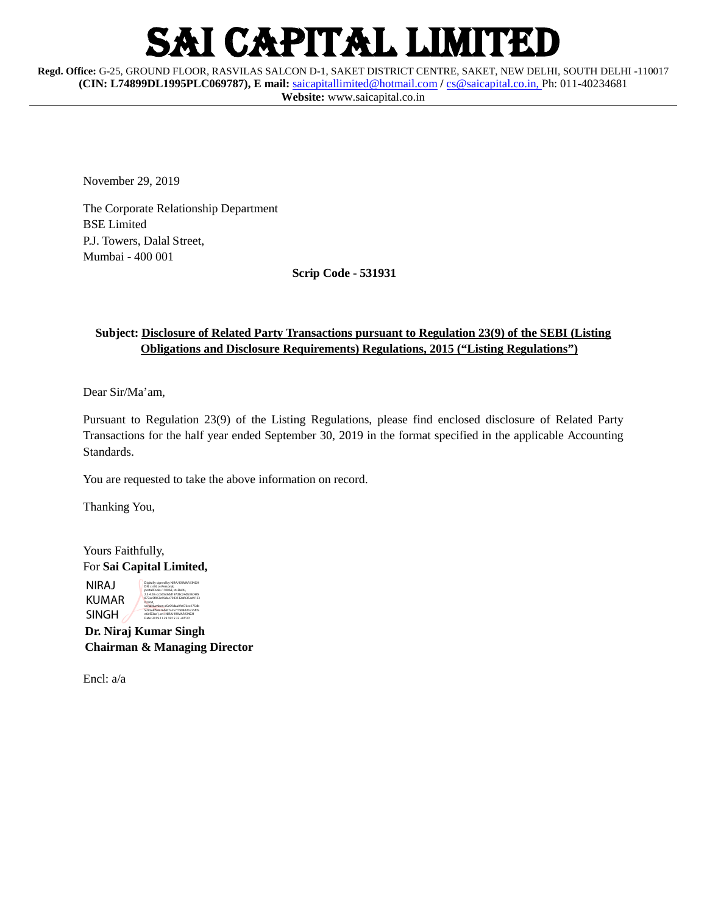# I CAPITAL LIMITED

**Regd. Office:** G-25, GROUND FLOOR, RASVILAS SALCON D-1, SAKET DISTRICT CENTRE, SAKET, NEW DELHI, SOUTH DELHI -110017 **(CIN: L74899DL1995PLC069787), E mail:** [saicapitallimited@hotmail.com](mailto:saicapitallimited@hotmail.com) **/** [cs@saicapital.co.in,](mailto:cs@saicapital.co.in) Ph: 011-40234681 **Website:** www.saicapital.co.in

November 29, 2019

The Corporate Relationship Department BSE Limited P.J. Towers, Dalal Street, Mumbai - 400 001

**Scrip Code - 531931**

## **Subject: Disclosure of Related Party Transactions pursuant to Regulation 23(9) of the SEBI (Listing Obligations and Disclosure Requirements) Regulations, 2015 ("Listing Regulations")**

Dear Sir/Ma'am,

Pursuant to Regulation 23(9) of the Listing Regulations, please find enclosed disclosure of Related Party Transactions for the half year ended September 30, 2019 in the format specified in the applicable Accounting Standards.

You are requested to take the above information on record.

Thanking You,

Yours Faithfully, For **Sai Capital Limited,**

NIRAJ KUMAR SINGH Digitally signed by NIRAJ KUMAR SINGH DN: c=IN, o=Personal, postalCode=110068, st=Delhi, 2.5.4.20=ccb65c8dd197d8c24db38c485 877ac5f063c69dac7943132afb35ed9133 0230d, serialNumber=c5e99daa0fc076ee175db<br>5295e8f54a76b6f7a257f1998d2b725f05<br>e6df23ae1, cn=NIRAJ KUMAR SINGH Date: 2019.11.29 18:15:32 +05'30'

 **Dr. Niraj Kumar Singh Chairman & Managing Director**

Encl: a/a